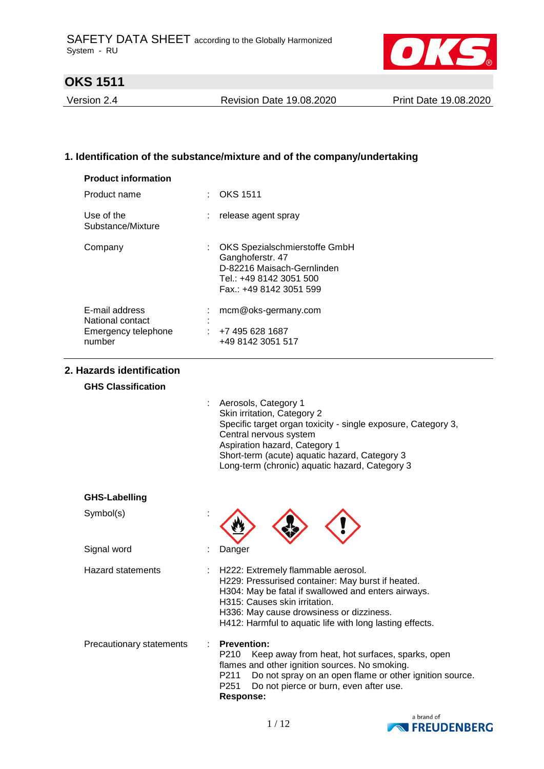

Version 2.4 Revision Date 19.08.2020 Print Date 19.08.2020

## **1. Identification of the substance/mixture and of the company/undertaking**

| <b>Product information</b>                                          |                                                                                                                                       |
|---------------------------------------------------------------------|---------------------------------------------------------------------------------------------------------------------------------------|
| Product name                                                        | $\therefore$ OKS 1511                                                                                                                 |
| Use of the<br>Substance/Mixture                                     | : release agent spray                                                                                                                 |
| Company                                                             | OKS Spezialschmierstoffe GmbH<br>Ganghoferstr. 47<br>D-82216 Maisach-Gernlinden<br>Tel.: +49 8142 3051 500<br>Fax.: +49 8142 3051 599 |
| E-mail address<br>National contact<br>Emergency telephone<br>number | mcm@oks-germany.com<br>$\div$ +7 495 628 1687<br>+49 8142 3051 517                                                                    |

### **2. Hazards identification**

### **GHS Classification**

| Aerosols, Category 1                                          |
|---------------------------------------------------------------|
| Skin irritation, Category 2                                   |
| Specific target organ toxicity - single exposure, Category 3, |
| Central nervous system                                        |
| Aspiration hazard, Category 1                                 |
| Short-term (acute) aquatic hazard, Category 3                 |
| Long-term (chronic) aquatic hazard, Category 3                |
|                                                               |

### **GHS-Labelling**

Symbol(s) in the symbol symbol symbol symbol symbol symbol symbol symbol symbol symbol symbol symbol symbol symbol symbol symbol symbol symbol symbol symbol symbol symbol symbol symbol symbol symbol symbol symbol symbol sy

| Signal word                     | Danger                                                                                                                                                                                                                                                                                    |  |
|---------------------------------|-------------------------------------------------------------------------------------------------------------------------------------------------------------------------------------------------------------------------------------------------------------------------------------------|--|
| Hazard statements               | : H222: Extremely flammable aerosol.<br>H229: Pressurised container: May burst if heated.<br>H304: May be fatal if swallowed and enters airways.<br>H315: Causes skin irritation.<br>H336: May cause drowsiness or dizziness.<br>H412: Harmful to aquatic life with long lasting effects. |  |
| <b>Precautionary statements</b> | : Prevention:<br>Keep away from heat, hot surfaces, sparks, open<br>P210<br>flames and other ignition sources. No smoking.<br>Do not spray on an open flame or other ignition source.<br>P <sub>2</sub> 11<br>Do not pierce or burn, even after use.<br>P <sub>251</sub><br>Response:     |  |

 $\langle 1 \rangle$ 

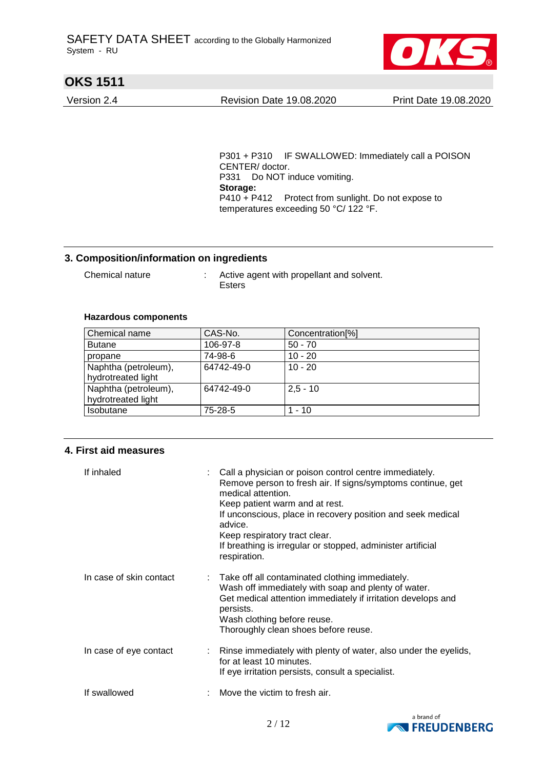

Version 2.4 Revision Date 19.08.2020 Print Date 19.08.2020

P301 + P310 IF SWALLOWED: Immediately call a POISON CENTER/ doctor. P331 Do NOT induce vomiting. **Storage:**  P410 + P412 Protect from sunlight. Do not expose to temperatures exceeding 50 °C/ 122 °F.

### **3. Composition/information on ingredients**

Chemical nature : Active agent with propellant and solvent. Esters

### **Hazardous components**

| Chemical name                              | CAS-No.    | Concentration <sup>[%]</sup> |
|--------------------------------------------|------------|------------------------------|
| <b>Butane</b>                              | 106-97-8   | $50 - 70$                    |
| propane                                    | 74-98-6    | $10 - 20$                    |
| Naphtha (petroleum),<br>hydrotreated light | 64742-49-0 | $10 - 20$                    |
| Naphtha (petroleum),<br>hydrotreated light | 64742-49-0 | $2,5 - 10$                   |
| <b>Isobutane</b>                           | 75-28-5    | $1 - 10$                     |

### **4. First aid measures**

| If inhaled              | Call a physician or poison control centre immediately.<br>Remove person to fresh air. If signs/symptoms continue, get<br>medical attention.<br>Keep patient warm and at rest.<br>If unconscious, place in recovery position and seek medical<br>advice.<br>Keep respiratory tract clear.<br>If breathing is irregular or stopped, administer artificial<br>respiration. |
|-------------------------|-------------------------------------------------------------------------------------------------------------------------------------------------------------------------------------------------------------------------------------------------------------------------------------------------------------------------------------------------------------------------|
| In case of skin contact | Take off all contaminated clothing immediately.<br>Wash off immediately with soap and plenty of water.<br>Get medical attention immediately if irritation develops and<br>persists.<br>Wash clothing before reuse.<br>Thoroughly clean shoes before reuse.                                                                                                              |
| In case of eye contact  | Rinse immediately with plenty of water, also under the eyelids,<br>for at least 10 minutes.<br>If eye irritation persists, consult a specialist.                                                                                                                                                                                                                        |
| If swallowed            | Move the victim to fresh air.                                                                                                                                                                                                                                                                                                                                           |

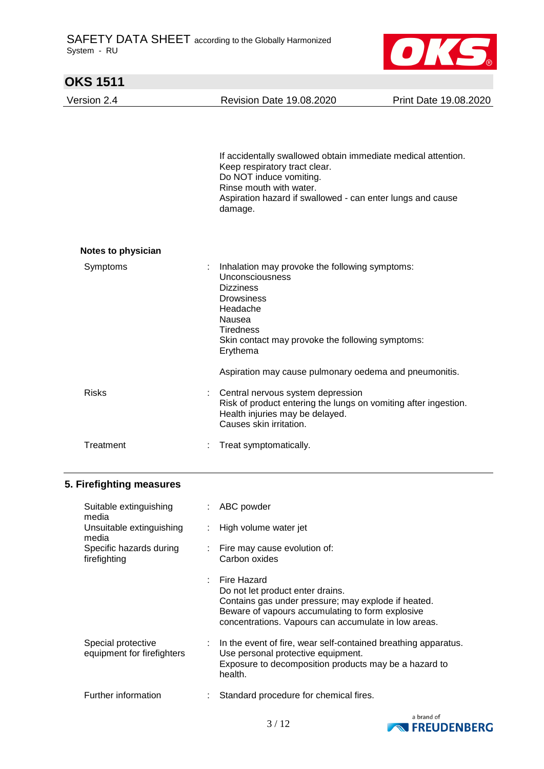

| <b>OKS 1511</b>    |   |                                                                                                                                                                                                                               |                       |
|--------------------|---|-------------------------------------------------------------------------------------------------------------------------------------------------------------------------------------------------------------------------------|-----------------------|
| Version 2.4        |   | <b>Revision Date 19.08.2020</b>                                                                                                                                                                                               | Print Date 19.08.2020 |
|                    |   | If accidentally swallowed obtain immediate medical attention.<br>Keep respiratory tract clear.<br>Do NOT induce vomiting.<br>Rinse mouth with water.<br>Aspiration hazard if swallowed - can enter lungs and cause<br>damage. |                       |
| Notes to physician |   |                                                                                                                                                                                                                               |                       |
| Symptoms           | t | Inhalation may provoke the following symptoms:<br>Unconsciousness<br><b>Dizziness</b><br><b>Drowsiness</b><br>Headache<br>Nausea<br><b>Tiredness</b><br>Skin contact may provoke the following symptoms:<br>Erythema          |                       |
|                    |   | Aspiration may cause pulmonary oedema and pneumonitis.                                                                                                                                                                        |                       |
| <b>Risks</b>       | t | Central nervous system depression<br>Risk of product entering the lungs on vomiting after ingestion.<br>Health injuries may be delayed.<br>Causes skin irritation.                                                            |                       |
| Treatment          |   | Treat symptomatically.                                                                                                                                                                                                        |                       |

## **5. Firefighting measures**

| Suitable extinguishing<br>media                  |                           | ABC powder                                                                                                                                                                                                         |
|--------------------------------------------------|---------------------------|--------------------------------------------------------------------------------------------------------------------------------------------------------------------------------------------------------------------|
| Unsuitable extinguishing<br>media                |                           | High volume water jet                                                                                                                                                                                              |
| Specific hazards during<br>firefighting          | $\mathbb{Z}^{\mathbb{Z}}$ | Fire may cause evolution of:<br>Carbon oxides                                                                                                                                                                      |
|                                                  | ÷                         | Fire Hazard<br>Do not let product enter drains.<br>Contains gas under pressure; may explode if heated.<br>Beware of vapours accumulating to form explosive<br>concentrations. Vapours can accumulate in low areas. |
| Special protective<br>equipment for firefighters |                           | : In the event of fire, wear self-contained breathing apparatus.<br>Use personal protective equipment.<br>Exposure to decomposition products may be a hazard to<br>health.                                         |
| Further information                              |                           | Standard procedure for chemical fires.                                                                                                                                                                             |

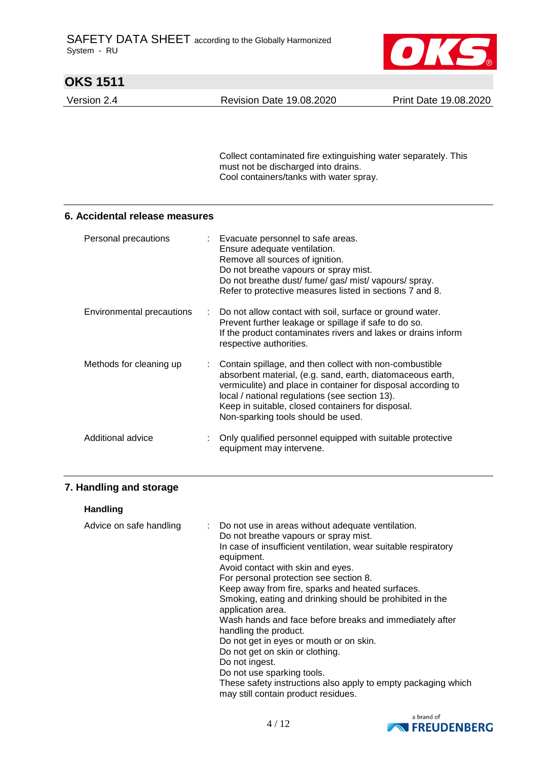

Version 2.4 Revision Date 19.08.2020 Print Date 19.08.2020

Collect contaminated fire extinguishing water separately. This must not be discharged into drains. Cool containers/tanks with water spray.

### **6. Accidental release measures**

| Personal precautions      | : Evacuate personnel to safe areas.<br>Ensure adequate ventilation.<br>Remove all sources of ignition.<br>Do not breathe vapours or spray mist.<br>Do not breathe dust/ fume/ gas/ mist/ vapours/ spray.<br>Refer to protective measures listed in sections 7 and 8.                                                                |
|---------------------------|-------------------------------------------------------------------------------------------------------------------------------------------------------------------------------------------------------------------------------------------------------------------------------------------------------------------------------------|
| Environmental precautions | : Do not allow contact with soil, surface or ground water.<br>Prevent further leakage or spillage if safe to do so.<br>If the product contaminates rivers and lakes or drains inform<br>respective authorities.                                                                                                                     |
| Methods for cleaning up   | Contain spillage, and then collect with non-combustible<br>absorbent material, (e.g. sand, earth, diatomaceous earth,<br>vermiculite) and place in container for disposal according to<br>local / national regulations (see section 13).<br>Keep in suitable, closed containers for disposal.<br>Non-sparking tools should be used. |
| Additional advice         | Only qualified personnel equipped with suitable protective<br>equipment may intervene.                                                                                                                                                                                                                                              |

## **7. Handling and storage**

### **Handling**

| Advice on safe handling | : Do not use in areas without adequate ventilation.                                                  |
|-------------------------|------------------------------------------------------------------------------------------------------|
|                         | Do not breathe vapours or spray mist.                                                                |
|                         | In case of insufficient ventilation, wear suitable respiratory<br>equipment.                         |
|                         | Avoid contact with skin and eyes.                                                                    |
|                         | For personal protection see section 8.                                                               |
|                         | Keep away from fire, sparks and heated surfaces.                                                     |
|                         | Smoking, eating and drinking should be prohibited in the<br>application area.                        |
|                         | Wash hands and face before breaks and immediately after<br>handling the product.                     |
|                         | Do not get in eyes or mouth or on skin.                                                              |
|                         | Do not get on skin or clothing.                                                                      |
|                         | Do not ingest.                                                                                       |
|                         | Do not use sparking tools.                                                                           |
|                         | These safety instructions also apply to empty packaging which<br>may still contain product residues. |

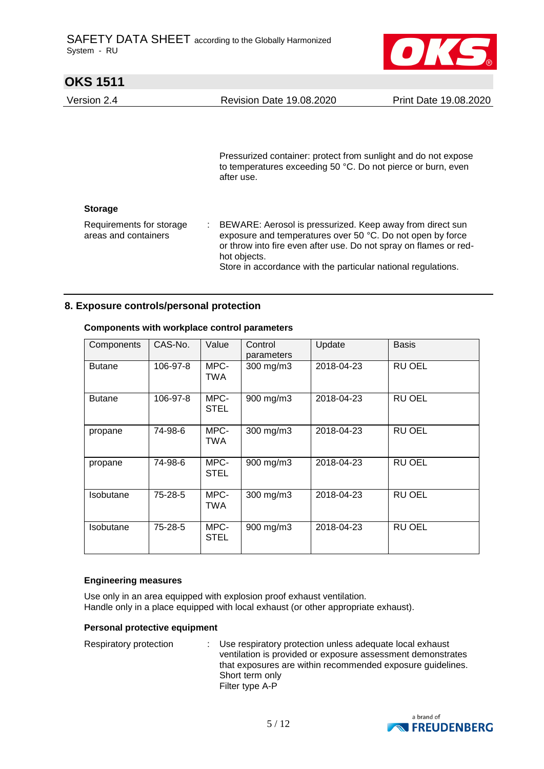

| UNJ IJII                                         |                                                                                                                                                                                                                                                                                 |                       |
|--------------------------------------------------|---------------------------------------------------------------------------------------------------------------------------------------------------------------------------------------------------------------------------------------------------------------------------------|-----------------------|
| Version 2.4                                      | <b>Revision Date 19.08.2020</b>                                                                                                                                                                                                                                                 | Print Date 19.08.2020 |
|                                                  | Pressurized container: protect from sunlight and do not expose<br>to temperatures exceeding 50 °C. Do not pierce or burn, even<br>after use.                                                                                                                                    |                       |
| <b>Storage</b>                                   |                                                                                                                                                                                                                                                                                 |                       |
| Requirements for storage<br>areas and containers | : BEWARE: Aerosol is pressurized. Keep away from direct sun<br>exposure and temperatures over 50 °C. Do not open by force<br>or throw into fire even after use. Do not spray on flames or red-<br>hot objects.<br>Store in accordance with the particular national regulations. |                       |

### **8. Exposure controls/personal protection**

| Components       | CAS-No.  | Value               | Control<br>parameters | Update     | <b>Basis</b>  |
|------------------|----------|---------------------|-----------------------|------------|---------------|
| <b>Butane</b>    | 106-97-8 | MPC-<br>TWA         | 300 mg/m3             | 2018-04-23 | RU OEL        |
| <b>Butane</b>    | 106-97-8 | MPC-<br><b>STEL</b> | 900 mg/m3             | 2018-04-23 | RU OEL        |
| propane          | 74-98-6  | MPC-<br>TWA         | 300 mg/m3             | 2018-04-23 | RU OEL        |
| propane          | 74-98-6  | MPC-<br><b>STEL</b> | 900 mg/m3             | 2018-04-23 | RU OEL        |
| <b>Isobutane</b> | 75-28-5  | MPC-<br><b>TWA</b>  | 300 mg/m3             | 2018-04-23 | RU OEL        |
| Isobutane        | 75-28-5  | MPC-<br><b>STEL</b> | 900 mg/m3             | 2018-04-23 | <b>RU OEL</b> |

### **Components with workplace control parameters**

#### **Engineering measures**

Use only in an area equipped with explosion proof exhaust ventilation. Handle only in a place equipped with local exhaust (or other appropriate exhaust).

#### **Personal protective equipment**

Respiratory protection : Use respiratory protection unless adequate local exhaust ventilation is provided or exposure assessment demonstrates that exposures are within recommended exposure guidelines. Short term only Filter type A-P

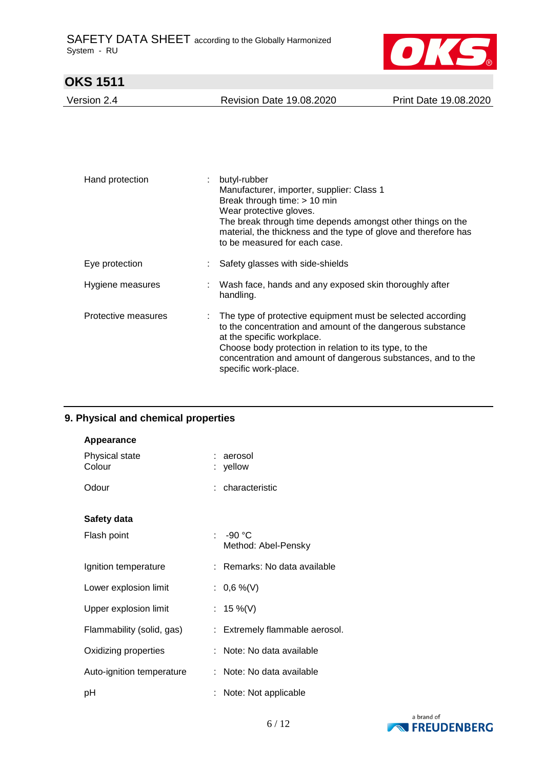

Version 2.4 Revision Date 19.08.2020 Print Date 19.08.2020

| Hand protection     | butyl-rubber<br>Manufacturer, importer, supplier: Class 1<br>Break through time: > 10 min<br>Wear protective gloves.<br>The break through time depends amongst other things on the<br>material, the thickness and the type of glove and therefore has<br>to be measured for each case.                    |
|---------------------|-----------------------------------------------------------------------------------------------------------------------------------------------------------------------------------------------------------------------------------------------------------------------------------------------------------|
| Eye protection      | Safety glasses with side-shields                                                                                                                                                                                                                                                                          |
| Hygiene measures    | Wash face, hands and any exposed skin thoroughly after<br>handling.                                                                                                                                                                                                                                       |
| Protective measures | The type of protective equipment must be selected according<br>to the concentration and amount of the dangerous substance<br>at the specific workplace.<br>Choose body protection in relation to its type, to the<br>concentration and amount of dangerous substances, and to the<br>specific work-place. |

## **9. Physical and chemical properties**

| <b>Appearance</b>         |    |                                 |
|---------------------------|----|---------------------------------|
| Physical state<br>Colour  |    | aerosol<br>yellow               |
| Odour                     |    | : characteristic                |
| Safety data               |    |                                 |
| Flash point               | ٠. | $-90 °C$<br>Method: Abel-Pensky |
| Ignition temperature      |    | : Remarks: No data available    |
| Lower explosion limit     |    | : $0,6\%$ (V)                   |
| Upper explosion limit     |    | 15 %(V)                         |
| Flammability (solid, gas) |    | Extremely flammable aerosol.    |
| Oxidizing properties      |    | Note: No data available         |
| Auto-ignition temperature |    | Note: No data available         |
| рH                        |    | Note: Not applicable            |

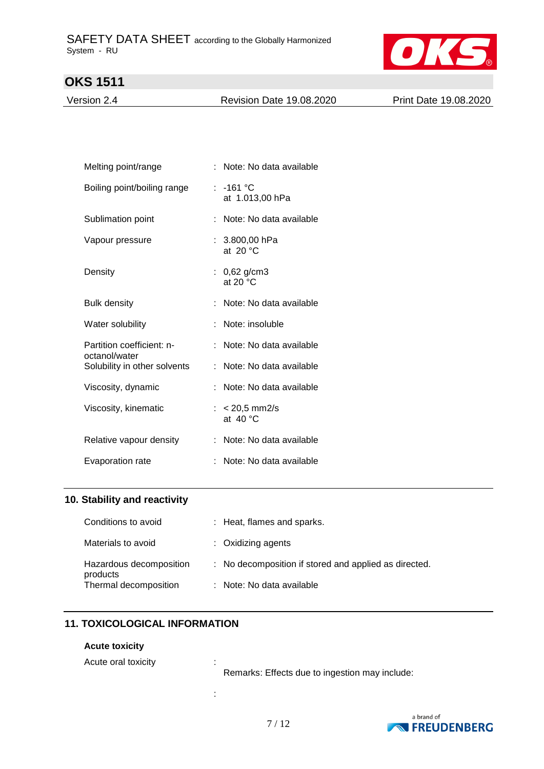

Version 2.4 Revision Date 19.08.2020 Print Date 19.08.2020

| Melting point/range                        |    | : Note: No data available             |
|--------------------------------------------|----|---------------------------------------|
| Boiling point/boiling range                |    | $: -161 °C$<br>at 1.013,00 hPa        |
| Sublimation point                          |    | Note: No data available               |
| Vapour pressure                            |    | $: 3.800,00$ hPa<br>at $20 °C$        |
| Density                                    |    | : $0,62$ g/cm3<br>at 20 $\degree$ C   |
| <b>Bulk density</b>                        |    | : Note: No data available             |
| Water solubility                           |    | Note: insoluble                       |
| Partition coefficient: n-<br>octanol/water | t. | Note: No data available               |
| Solubility in other solvents               | t. | Note: No data available               |
| Viscosity, dynamic                         | t. | Note: No data available               |
| Viscosity, kinematic                       |    | : $< 20.5$ mm2/s<br>at $40^{\circ}$ C |
| Relative vapour density                    |    | : Note: No data available             |
| Evaporation rate                           |    | Note: No data available               |

### **10. Stability and reactivity**

| Conditions to avoid                 | : Heat, flames and sparks.                            |
|-------------------------------------|-------------------------------------------------------|
| Materials to avoid                  | $\therefore$ Oxidizing agents                         |
| Hazardous decomposition<br>products | : No decomposition if stored and applied as directed. |
| Thermal decomposition               | : Note: No data available                             |

## **11. TOXICOLOGICAL INFORMATION**

### **Acute toxicity**

Acute oral toxicity in the set of  $\mathbf{r}$ :

Remarks: Effects due to ingestion may include:



: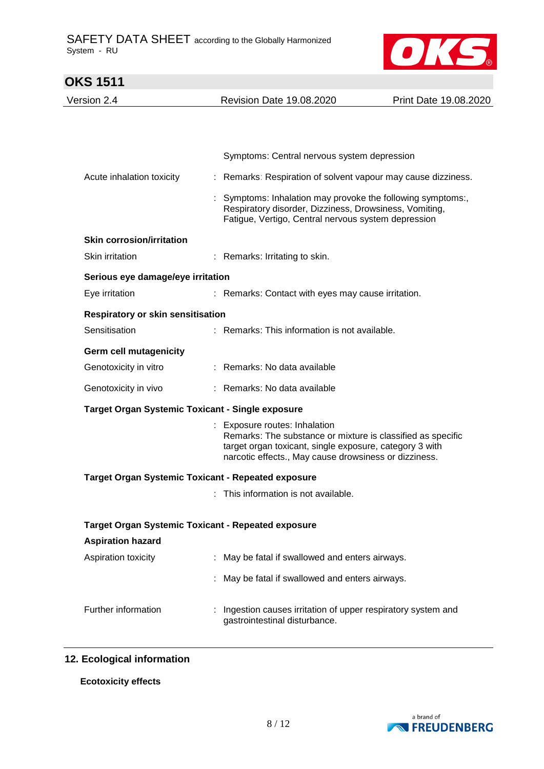l.



| <b>OKS 1511</b>                                           |                                                                                                                                                                                                                  |                       |  |
|-----------------------------------------------------------|------------------------------------------------------------------------------------------------------------------------------------------------------------------------------------------------------------------|-----------------------|--|
| Version 2.4                                               | <b>Revision Date 19.08.2020</b>                                                                                                                                                                                  | Print Date 19.08.2020 |  |
|                                                           |                                                                                                                                                                                                                  |                       |  |
|                                                           |                                                                                                                                                                                                                  |                       |  |
|                                                           | Symptoms: Central nervous system depression                                                                                                                                                                      |                       |  |
| Acute inhalation toxicity                                 | : Remarks: Respiration of solvent vapour may cause dizziness.                                                                                                                                                    |                       |  |
|                                                           | Symptoms: Inhalation may provoke the following symptoms:,<br>Respiratory disorder, Dizziness, Drowsiness, Vomiting,<br>Fatigue, Vertigo, Central nervous system depression                                       |                       |  |
| <b>Skin corrosion/irritation</b>                          |                                                                                                                                                                                                                  |                       |  |
| Skin irritation                                           | : Remarks: Irritating to skin.                                                                                                                                                                                   |                       |  |
| Serious eye damage/eye irritation                         |                                                                                                                                                                                                                  |                       |  |
| Eye irritation                                            | : Remarks: Contact with eyes may cause irritation.                                                                                                                                                               |                       |  |
| <b>Respiratory or skin sensitisation</b>                  |                                                                                                                                                                                                                  |                       |  |
| Sensitisation                                             | : Remarks: This information is not available.                                                                                                                                                                    |                       |  |
| <b>Germ cell mutagenicity</b>                             |                                                                                                                                                                                                                  |                       |  |
| Genotoxicity in vitro                                     | : Remarks: No data available                                                                                                                                                                                     |                       |  |
| Genotoxicity in vivo                                      | : Remarks: No data available                                                                                                                                                                                     |                       |  |
| <b>Target Organ Systemic Toxicant - Single exposure</b>   |                                                                                                                                                                                                                  |                       |  |
|                                                           | : Exposure routes: Inhalation<br>Remarks: The substance or mixture is classified as specific<br>target organ toxicant, single exposure, category 3 with<br>narcotic effects., May cause drowsiness or dizziness. |                       |  |
| <b>Target Organ Systemic Toxicant - Repeated exposure</b> |                                                                                                                                                                                                                  |                       |  |
|                                                           | This information is not available.                                                                                                                                                                               |                       |  |
| <b>Target Organ Systemic Toxicant - Repeated exposure</b> |                                                                                                                                                                                                                  |                       |  |
| <b>Aspiration hazard</b>                                  |                                                                                                                                                                                                                  |                       |  |
| Aspiration toxicity                                       | : May be fatal if swallowed and enters airways.                                                                                                                                                                  |                       |  |
|                                                           | May be fatal if swallowed and enters airways.                                                                                                                                                                    |                       |  |
|                                                           |                                                                                                                                                                                                                  |                       |  |
| Further information                                       | Ingestion causes irritation of upper respiratory system and<br>gastrointestinal disturbance.                                                                                                                     |                       |  |

## **12. Ecological information**

### **Ecotoxicity effects**

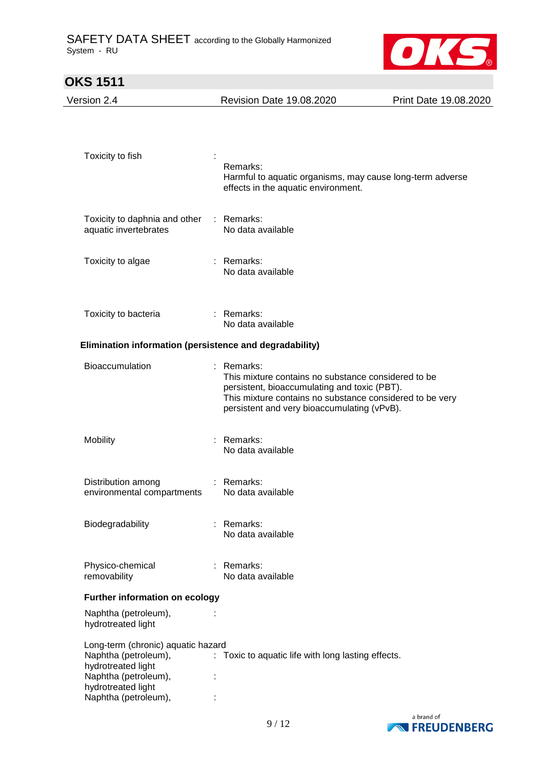

| <b>OKS 1511</b>                                                                                                                                        |                                                                                                                                                                                                                              |                       |
|--------------------------------------------------------------------------------------------------------------------------------------------------------|------------------------------------------------------------------------------------------------------------------------------------------------------------------------------------------------------------------------------|-----------------------|
| Version 2.4                                                                                                                                            | <b>Revision Date 19.08.2020</b>                                                                                                                                                                                              | Print Date 19.08.2020 |
| Toxicity to fish                                                                                                                                       | Remarks:<br>Harmful to aquatic organisms, may cause long-term adverse<br>effects in the aquatic environment.                                                                                                                 |                       |
| Toxicity to daphnia and other<br>aquatic invertebrates                                                                                                 | : Remarks:<br>No data available                                                                                                                                                                                              |                       |
| Toxicity to algae                                                                                                                                      | : Remarks:<br>No data available                                                                                                                                                                                              |                       |
| Toxicity to bacteria                                                                                                                                   | : Remarks:<br>No data available                                                                                                                                                                                              |                       |
| Elimination information (persistence and degradability)                                                                                                |                                                                                                                                                                                                                              |                       |
| Bioaccumulation                                                                                                                                        | : Remarks:<br>This mixture contains no substance considered to be<br>persistent, bioaccumulating and toxic (PBT).<br>This mixture contains no substance considered to be very<br>persistent and very bioaccumulating (vPvB). |                       |
| Mobility                                                                                                                                               | Remarks:<br>No data available                                                                                                                                                                                                |                       |
| Distribution among<br>environmental compartments                                                                                                       | : Remarks:<br>No data available                                                                                                                                                                                              |                       |
| Biodegradability                                                                                                                                       | : Remarks:<br>No data available                                                                                                                                                                                              |                       |
| Physico-chemical<br>removability                                                                                                                       | : Remarks:<br>No data available                                                                                                                                                                                              |                       |
| Further information on ecology                                                                                                                         |                                                                                                                                                                                                                              |                       |
| Naphtha (petroleum),<br>hydrotreated light                                                                                                             |                                                                                                                                                                                                                              |                       |
| Long-term (chronic) aquatic hazard<br>Naphtha (petroleum),<br>hydrotreated light<br>Naphtha (petroleum),<br>hydrotreated light<br>Naphtha (petroleum), | : Toxic to aquatic life with long lasting effects.                                                                                                                                                                           |                       |

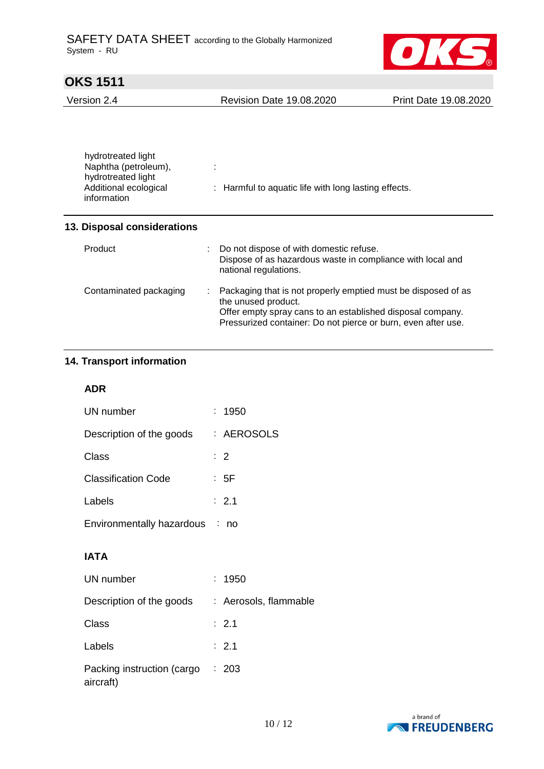

Version 2.4 Revision Date 19.08.2020 Print Date 19.08.2020

| hydrotreated light<br>Naphtha (petroleum),<br>hydrotreated light<br>Additional ecological<br>information | : Harmful to aquatic life with long lasting effects. |
|----------------------------------------------------------------------------------------------------------|------------------------------------------------------|
|                                                                                                          |                                                      |

### **13. Disposal considerations**

| Product                | t. | Do not dispose of with domestic refuse.<br>Dispose of as hazardous waste in compliance with local and<br>national regulations.                                                                                      |
|------------------------|----|---------------------------------------------------------------------------------------------------------------------------------------------------------------------------------------------------------------------|
| Contaminated packaging |    | Packaging that is not properly emptied must be disposed of as<br>the unused product.<br>Offer empty spray cans to an established disposal company.<br>Pressurized container: Do not pierce or burn, even after use. |

## **14. Transport information**

### **ADR**

| UN number                      | : 1950           |
|--------------------------------|------------------|
| Description of the goods       | : AEROSOLS       |
| Class                          | $\therefore$ 2   |
| <b>Classification Code</b>     | : 5F             |
| Labels                         | $\therefore$ 2.1 |
| Environmentally hazardous : no |                  |

# **IATA**

| UN number                               | : 1950                |
|-----------------------------------------|-----------------------|
| Description of the goods                | : Aerosols, flammable |
| Class                                   | $\therefore$ 2.1      |
| Labels                                  | $\therefore$ 2.1      |
| Packing instruction (cargo<br>aircraft) | : 203                 |

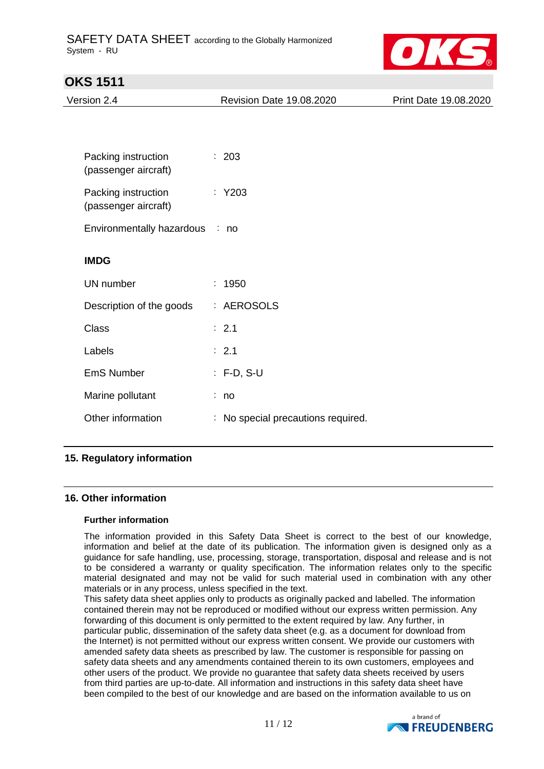

| UNJ IJII                                    |                                    |                       |
|---------------------------------------------|------------------------------------|-----------------------|
| Version 2.4                                 | <b>Revision Date 19.08.2020</b>    | Print Date 19.08.2020 |
|                                             |                                    |                       |
|                                             |                                    |                       |
| Packing instruction<br>(passenger aircraft) | : 203                              |                       |
| Packing instruction<br>(passenger aircraft) | $:$ Y203                           |                       |
| Environmentally hazardous : no              |                                    |                       |
| <b>IMDG</b>                                 |                                    |                       |
| <b>UN</b> number                            | : 1950                             |                       |
| Description of the goods                    | : AEROSOLS                         |                       |
| <b>Class</b>                                | : 2.1                              |                       |
| Labels                                      | : 2.1                              |                       |
| <b>EmS Number</b>                           | $: F-D, S-U$                       |                       |
| Marine pollutant                            | : no                               |                       |
| Other information                           | : No special precautions required. |                       |
|                                             |                                    |                       |

## **15. Regulatory information**

### **16. Other information**

### **Further information**

The information provided in this Safety Data Sheet is correct to the best of our knowledge, information and belief at the date of its publication. The information given is designed only as a guidance for safe handling, use, processing, storage, transportation, disposal and release and is not to be considered a warranty or quality specification. The information relates only to the specific material designated and may not be valid for such material used in combination with any other materials or in any process, unless specified in the text.

This safety data sheet applies only to products as originally packed and labelled. The information contained therein may not be reproduced or modified without our express written permission. Any forwarding of this document is only permitted to the extent required by law. Any further, in particular public, dissemination of the safety data sheet (e.g. as a document for download from the Internet) is not permitted without our express written consent. We provide our customers with amended safety data sheets as prescribed by law. The customer is responsible for passing on safety data sheets and any amendments contained therein to its own customers, employees and other users of the product. We provide no guarantee that safety data sheets received by users from third parties are up-to-date. All information and instructions in this safety data sheet have been compiled to the best of our knowledge and are based on the information available to us on